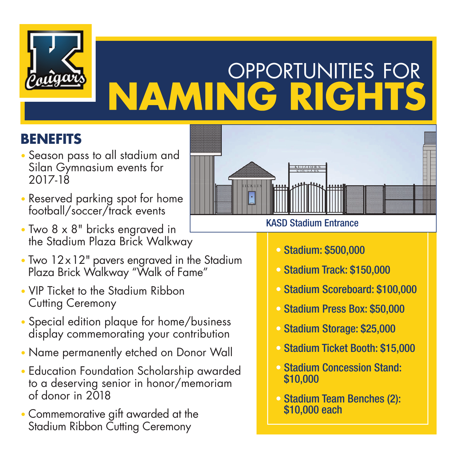

# **OPPORTUNITIES FOR NAMING RIGHTS**

### **BENEFITS**

- Season pass to all stadium and Silan Gymnasium events for 2017-18
- Reserved parking spot for home football/soccer/track events
- Two 8 x 8" bricks engraved in the Stadium Plaza Brick Walkway
- Two 12x12" pavers engraved in the Stadium Plaza Brick Walkway "Walk of Fame"
- VIP Ticket to the Stadium Ribbon Cutting Ceremony
- Special edition plaque for home/business display commemorating your contribution
- Name permanently etched on Donor Wall
- Education Foundation Scholarship awarded to a deserving senior in honor/memoriam of donor in 2018
- Commemorative gift awarded at the Stadium Ribbon Cutting Ceremony



#### KASD Stadium Entrance

- Stadium: \$500,000
- Stadium Track: \$150,000
- Stadium Scoreboard: \$100,000
- Stadium Press Box: \$50,000
- Stadium Storage: \$25,000
- Stadium Ticket Booth: \$15,000
- Stadium Concession Stand: \$10,000
- Stadium Team Benches (2): \$10,000 each